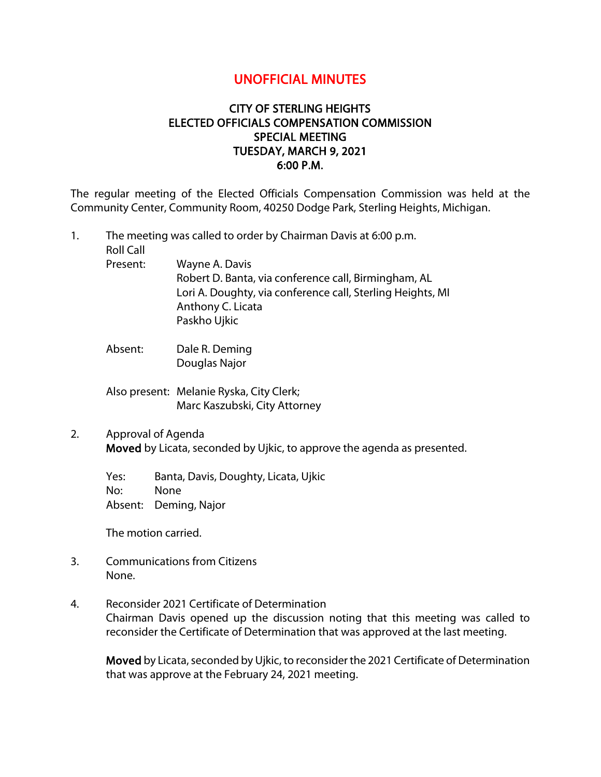## UNOFFICIAL MINUTES

## CITY OF STERLING HEIGHTS ELECTED OFFICIALS COMPENSATION COMMISSION SPECIAL MEETING TUESDAY, MARCH 9, 2021 6:00 P.M.

The regular meeting of the Elected Officials Compensation Commission was held at the Community Center, Community Room, 40250 Dodge Park, Sterling Heights, Michigan.

- 1. The meeting was called to order by Chairman Davis at 6:00 p.m. Roll Call Present: Wayne A. Davis Robert D. Banta, via conference call, Birmingham, AL Lori A. Doughty, via conference call, Sterling Heights, MI Anthony C. Licata Paskho Ujkic
	- Absent: Dale R. Deming Douglas Najor
	- Also present: Melanie Ryska, City Clerk; Marc Kaszubski, City Attorney
- 2. Approval of Agenda Moved by Licata, seconded by Ujkic, to approve the agenda as presented.

Yes: Banta, Davis, Doughty, Licata, Ujkic No: None Absent: Deming, Najor

The motion carried.

- 3. Communications from Citizens None.
- 4. Reconsider 2021 Certificate of Determination Chairman Davis opened up the discussion noting that this meeting was called to reconsider the Certificate of Determination that was approved at the last meeting.

Moved by Licata, seconded by Ujkic, to reconsider the 2021 Certificate of Determination that was approve at the February 24, 2021 meeting.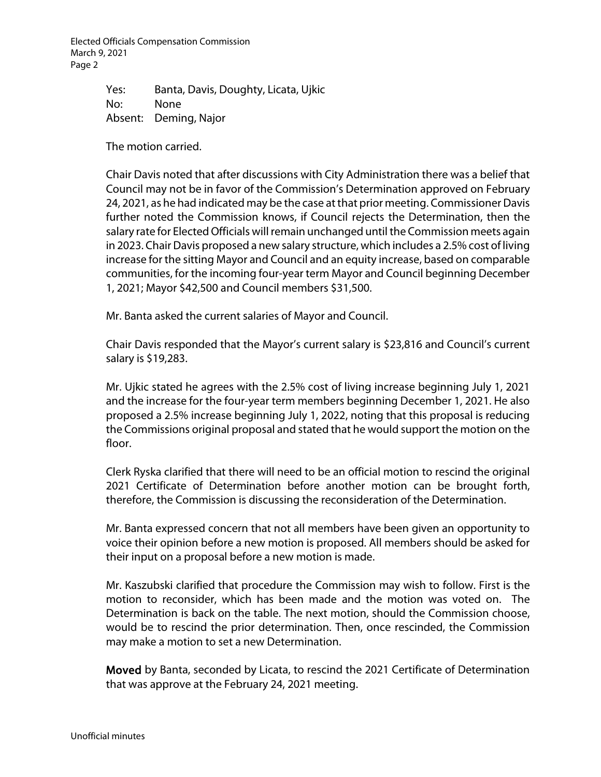Elected Officials Compensation Commission March 9, 2021 Page 2

> Yes: Banta, Davis, Doughty, Licata, Ujkic No: None Absent: Deming, Najor

The motion carried.

Chair Davis noted that after discussions with City Administration there was a belief that Council may not be in favor of the Commission's Determination approved on February 24, 2021, as he had indicated may be the case at that prior meeting. Commissioner Davis further noted the Commission knows, if Council rejects the Determination, then the salary rate for Elected Officials will remain unchanged until the Commission meets again in 2023. Chair Davis proposed a new salary structure, which includes a 2.5% cost of living increase for the sitting Mayor and Council and an equity increase, based on comparable communities, for the incoming four-year term Mayor and Council beginning December 1, 2021; Mayor \$42,500 and Council members \$31,500.

Mr. Banta asked the current salaries of Mayor and Council.

Chair Davis responded that the Mayor's current salary is \$23,816 and Council's current salary is \$19,283.

Mr. Ujkic stated he agrees with the 2.5% cost of living increase beginning July 1, 2021 and the increase for the four-year term members beginning December 1, 2021. He also proposed a 2.5% increase beginning July 1, 2022, noting that this proposal is reducing the Commissions original proposal and stated that he would support the motion on the floor.

Clerk Ryska clarified that there will need to be an official motion to rescind the original 2021 Certificate of Determination before another motion can be brought forth, therefore, the Commission is discussing the reconsideration of the Determination.

Mr. Banta expressed concern that not all members have been given an opportunity to voice their opinion before a new motion is proposed. All members should be asked for their input on a proposal before a new motion is made.

Mr. Kaszubski clarified that procedure the Commission may wish to follow. First is the motion to reconsider, which has been made and the motion was voted on. The Determination is back on the table. The next motion, should the Commission choose, would be to rescind the prior determination. Then, once rescinded, the Commission may make a motion to set a new Determination.

Moved by Banta, seconded by Licata, to rescind the 2021 Certificate of Determination that was approve at the February 24, 2021 meeting.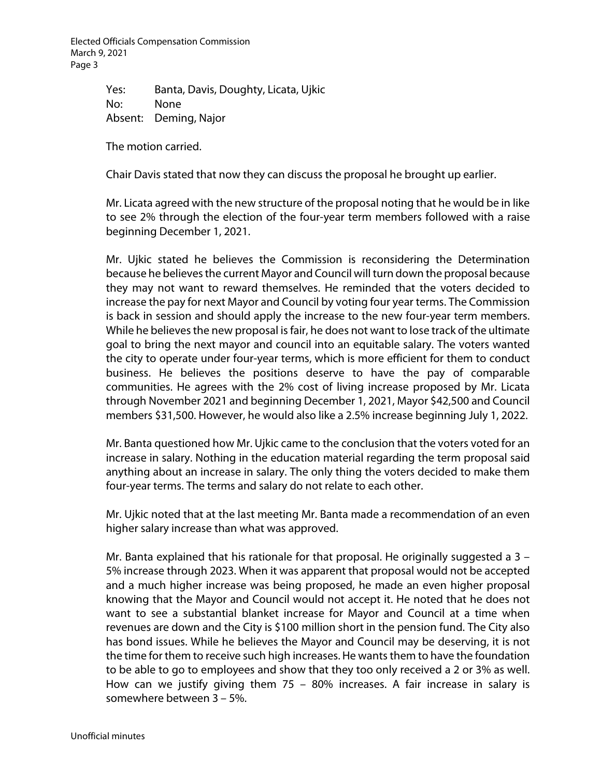Elected Officials Compensation Commission March 9, 2021 Page 3

> Yes: Banta, Davis, Doughty, Licata, Ujkic No: None Absent: Deming, Najor

The motion carried.

Chair Davis stated that now they can discuss the proposal he brought up earlier.

Mr. Licata agreed with the new structure of the proposal noting that he would be in like to see 2% through the election of the four-year term members followed with a raise beginning December 1, 2021.

Mr. Ujkic stated he believes the Commission is reconsidering the Determination because he believes the current Mayor and Council will turn down the proposal because they may not want to reward themselves. He reminded that the voters decided to increase the pay for next Mayor and Council by voting four year terms. The Commission is back in session and should apply the increase to the new four-year term members. While he believes the new proposal is fair, he does not want to lose track of the ultimate goal to bring the next mayor and council into an equitable salary. The voters wanted the city to operate under four-year terms, which is more efficient for them to conduct business. He believes the positions deserve to have the pay of comparable communities. He agrees with the 2% cost of living increase proposed by Mr. Licata through November 2021 and beginning December 1, 2021, Mayor \$42,500 and Council members \$31,500. However, he would also like a 2.5% increase beginning July 1, 2022.

Mr. Banta questioned how Mr. Ujkic came to the conclusion that the voters voted for an increase in salary. Nothing in the education material regarding the term proposal said anything about an increase in salary. The only thing the voters decided to make them four-year terms. The terms and salary do not relate to each other.

Mr. Ujkic noted that at the last meeting Mr. Banta made a recommendation of an even higher salary increase than what was approved.

Mr. Banta explained that his rationale for that proposal. He originally suggested a  $3 -$ 5% increase through 2023. When it was apparent that proposal would not be accepted and a much higher increase was being proposed, he made an even higher proposal knowing that the Mayor and Council would not accept it. He noted that he does not want to see a substantial blanket increase for Mayor and Council at a time when revenues are down and the City is \$100 million short in the pension fund. The City also has bond issues. While he believes the Mayor and Council may be deserving, it is not the time for them to receive such high increases. He wants them to have the foundation to be able to go to employees and show that they too only received a 2 or 3% as well. How can we justify giving them 75 – 80% increases. A fair increase in salary is somewhere between 3 – 5%.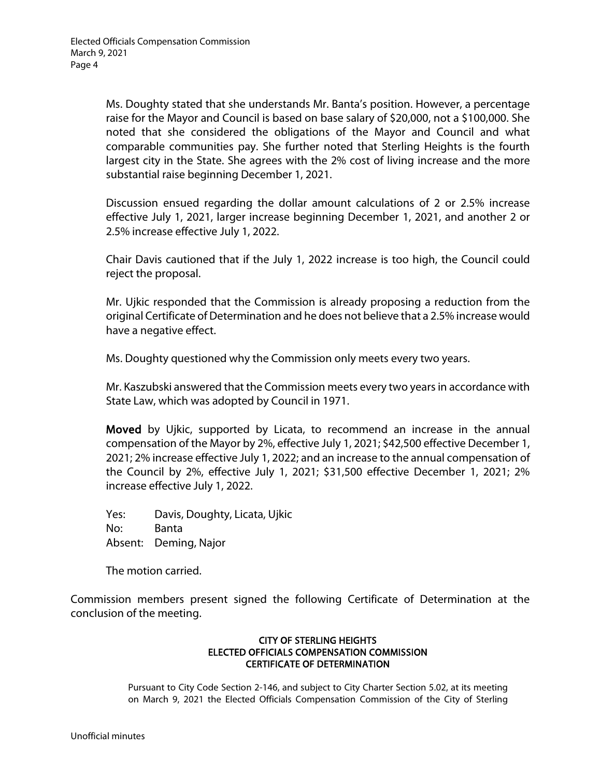Ms. Doughty stated that she understands Mr. Banta's position. However, a percentage raise for the Mayor and Council is based on base salary of \$20,000, not a \$100,000. She noted that she considered the obligations of the Mayor and Council and what comparable communities pay. She further noted that Sterling Heights is the fourth largest city in the State. She agrees with the 2% cost of living increase and the more substantial raise beginning December 1, 2021.

Discussion ensued regarding the dollar amount calculations of 2 or 2.5% increase effective July 1, 2021, larger increase beginning December 1, 2021, and another 2 or 2.5% increase effective July 1, 2022.

Chair Davis cautioned that if the July 1, 2022 increase is too high, the Council could reject the proposal.

Mr. Ujkic responded that the Commission is already proposing a reduction from the original Certificate of Determination and he does not believe that a 2.5% increase would have a negative effect.

Ms. Doughty questioned why the Commission only meets every two years.

Mr. Kaszubski answered that the Commission meets every two years in accordance with State Law, which was adopted by Council in 1971.

Moved by Ujkic, supported by Licata, to recommend an increase in the annual compensation of the Mayor by 2%, effective July 1, 2021; \$42,500 effective December 1, 2021; 2% increase effective July 1, 2022; and an increase to the annual compensation of the Council by 2%, effective July 1, 2021; \$31,500 effective December 1, 2021; 2% increase effective July 1, 2022.

Yes: Davis, Doughty, Licata, Ujkic No: Banta Absent: Deming, Najor

The motion carried.

Commission members present signed the following Certificate of Determination at the conclusion of the meeting.

## CITY OF STERLING HEIGHTS ELECTED OFFICIALS COMPENSATION COMMISSION CERTIFICATE OF DETERMINATION

Pursuant to City Code Section 2-146, and subject to City Charter Section 5.02, at its meeting on March 9, 2021 the Elected Officials Compensation Commission of the City of Sterling